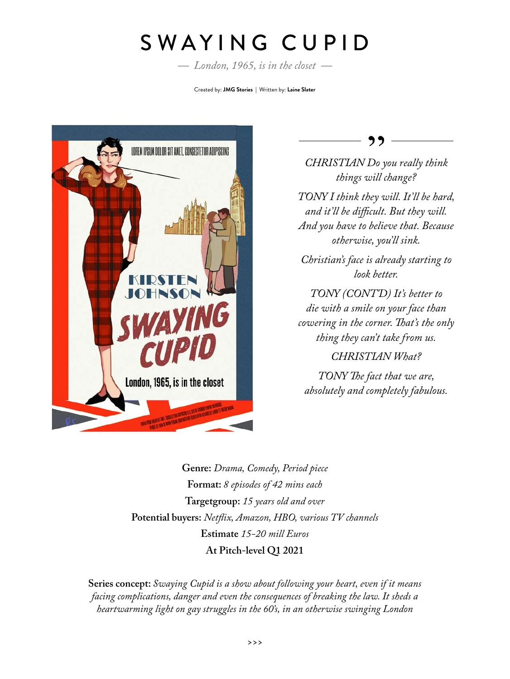## SWAYING CUPID

*— London, 1965, is in the closet —*

Created by: **JMG Stories |** Written by: **Laine Slater**



77

*CHRISTIAN Do you really think things will change?*

*TONY I think they will. It'll be hard, and it'll be difficult. But they will. And you have to believe that. Because otherwise, you'll sink.*

*Christian's face is already starting to look better.*

*TONY (CONT'D) It's better to die with a smile on your face than cowering in the corner. That's the only thing they can't take from us.*

*CHRISTIAN What?*

*TONY The fact that we are, absolutely and completely fabulous.*

**Genre:** *Drama, Comedy, Period piece* **Format:** *8 episodes of 42 mins each*  **Targetgroup:** *15 years old and over* **Potential buyers:** *Netflix, Amazon, HBO, various TV channels* **Estimate** *15-20 mill Euros* **At Pitch-level Q1 2021**

**Series concept:** *Swaying Cupid is a show about following your heart, even if it means facing complications, danger and even the consequences of breaking the law. It sheds a heartwarming light on gay struggles in the 60's, in an otherwise swinging London*